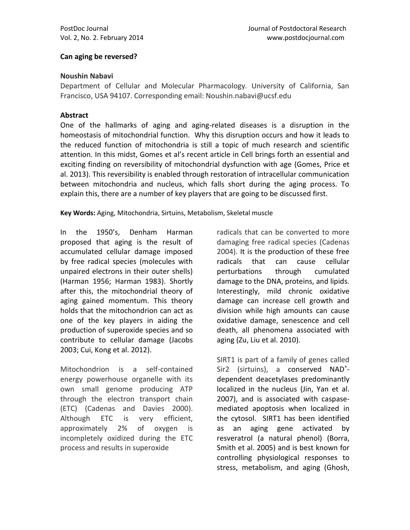#### **Can aging be reversed?**

#### **Noushin Nabavi**

Department of Cellular and Molecular Pharmacology. University of California, San Francisco, USA 94107. Corresponding email: Noushin.nabavi@ucsf.edu

#### **Abstract**

One of the hallmarks of aging and aging-related diseases is a disruption in the homeostasis of mitochondrial function. Why this disruption occurs and how it leads to the reduced function of mitochondria is still a topic of much research and scientific attention. In this midst, Gomes et al's recent article in Cell brings forth an essential and exciting finding on reversibility of mitochondrial dysfunction with age [\(Gomes, Price et](#page-3-0)  [al. 2013\)](#page-3-0). This reversibility is enabled through restoration of intracellular communication between mitochondria and nucleus, which falls short during the aging process. To explain this, there are a number of key players that are going to be discussed first.

**Key Words:** Aging, Mitochondria, Sirtuins, Metabolism, Skeletal muscle

In the 1950's, Denham Harman proposed that aging is the result of accumulated cellular damage imposed by free radical species (molecules with unpaired electrons in their outer shells) [\(Harman 1956;](#page-3-1) [Harman 1983\)](#page-3-2). Shortly after this, the mitochondrial theory of aging gained momentum. This theory holds that the mitochondrion can act as one of the key players in aiding the production of superoxide species and so contribute to cellular damage [\(Jacobs](#page-3-3)  [2003;](#page-3-3) [Cui, Kong et al. 2012\)](#page-3-4).

Mitochondrion is a self-contained energy powerhouse organelle with its own small genome producing ATP through the electron transport chain (ETC) [\(Cadenas and Davies 2000\)](#page-3-5). Although ETC is very efficient, approximately 2% of oxygen is incompletely oxidized during the ETC process and results in superoxide

radicals that can be converted to more damaging free radical species [\(Cadenas](#page-3-6)  [2004\)](#page-3-6). It is the production of these free radicals that can cause cellular perturbations through cumulated damage to the DNA, proteins, and lipids. Interestingly, mild chronic oxidative damage can increase cell growth and division while high amounts can cause oxidative damage, senescence and cell death, all phenomena associated with aging [\(Zu, Liu et al. 2010\)](#page-4-0).

SIRT1 is part of a family of genes called Sir2 (sirtuins), a conserved NAD<sup>+</sup>dependent deacetylases predominantly localized in the nucleus [\(Jin, Yan et al.](#page-3-7)  [2007\)](#page-3-7), and is associated with caspasemediated apoptosis when localized in the cytosol. SIRT1 has been identified as an aging gene activated by resveratrol (a natural phenol) [\(Borra,](#page-3-8)  [Smith et al. 2005\)](#page-3-8) and is best known for controlling physiological responses to stress, metabolism, and aging [\(Ghosh,](#page-3-9)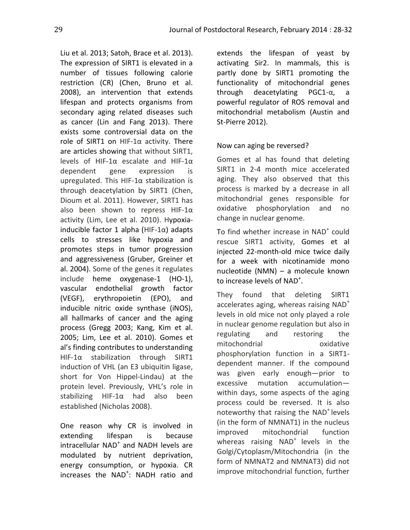Liu et al. 2013; [Satoh, Brace et al. 2013\)](#page-4-1). The expression of SIRT1 is elevated in a number of tissues following calorie restriction (CR) [\(Chen, Bruno et al.](#page-3-10)  [2008\)](#page-3-10), an intervention that extends lifespan and protects organisms from secondary aging related diseases such as cancer [\(Lin and Fang 2013\)](#page-4-2). There exists some controversial data on the role of SIRT1 on HIF-1α activity. There are articles showing that without SIRT1, levels of HIF-1α escalate and HIF-1α dependent gene expression is upregulated. This HIF-1 $\alpha$  stabilization is through deacetylation by SIRT1 [\(Chen,](#page-3-11)  [Dioum et al. 2011\)](#page-3-11). However, SIRT1 has also been shown to repress HIF-1α activity [\(Lim, Lee et al. 2010\)](#page-4-3). Hypoxiainducible factor 1 alpha (HIF-1 $\alpha$ ) adapts cells to stresses like hypoxia and promotes steps in tumor progression and aggressiveness [\(Gruber, Greiner et](#page-3-12)  [al. 2004\)](#page-3-12). Some of the genes it regulates include heme oxygenase-1 (HO-1), vascular endothelial growth factor (VEGF), erythropoietin (EPO), and inducible nitric oxide synthase (iNOS), all hallmarks of cancer and the aging process [\(Gregg 2003;](#page-3-13) [Kang, Kim et al.](#page-3-14)  [2005;](#page-3-14) [Lim, Lee et al. 2010\)](#page-4-4). Gomes et al's finding contributes to understanding HIF-1α stabilization through SIRT1 induction of VHL (an E3 ubiquitin ligase, short for Von Hippel-Lindau) at the protein level. Previously, VHL's role in stabilizing HIF-1α had also been established [\(Nicholas 2008\)](#page-4-5).

One reason why CR is involved in extending lifespan is because intracellular NAD<sup>+</sup> and NADH levels are modulated by nutrient deprivation, energy consumption, or hypoxia. CR increases the NAD<sup>+</sup>: NADH ratio and

extends the lifespan of yeast by activating Sir2. In mammals, this is partly done by SIRT1 promoting the functionality of mitochondrial genes through deacetylating PGC1-α, a powerful regulator of ROS removal and mitochondrial metabolism [\(Austin and](#page-3-15)  [St-Pierre 2012\)](#page-3-15).

## Now can aging be reversed?

Gomes et al has found that deleting SIRT1 in 2-4 month mice accelerated aging. They also observed that this process is marked by a decrease in all mitochondrial genes responsible for oxidative phosphorylation and no change in nuclear genome.

To find whether increase in NAD<sup>+</sup> could rescue SIRT1 activity, Gomes et al injected 22-month-old mice twice daily for a week with nicotinamide mono nucleotide (NMN) – a molecule known to increase levels of NAD<sup>+</sup>.

They found that deleting SIRT1 accelerates aging, whereas raising  $NAD<sup>+</sup>$ levels in old mice not only played a role in nuclear genome regulation but also in regulating and restoring the mitochondrial **oxidative** phosphorylation function in a SIRT1 dependent manner. If the compound was given early enough—prior to excessive mutation accumulation within days, some aspects of the aging process could be reversed. It is also noteworthy that raising the NAD<sup>+</sup> levels (in the form of NMNAT1) in the nucleus improved mitochondrial function whereas raising NAD<sup>+</sup> levels in the Golgi/Cytoplasm/Mitochondria (in the form of NMNAT2 and NMNAT3) did not improve mitochondrial function, further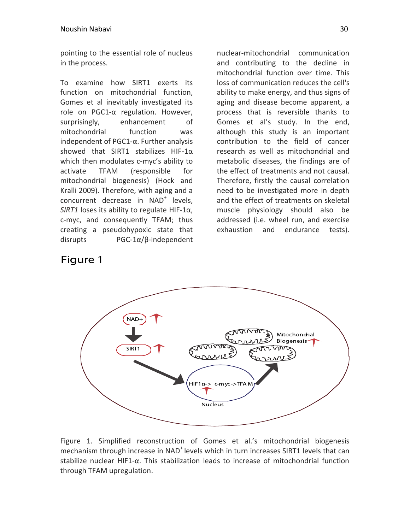pointing to the essential role of nucleus in the process.

To examine how SIRT1 exerts its function on mitochondrial function, Gomes et al inevitably investigated its role on PGC1-α regulation. However, surprisingly, enhancement of mitochondrial function was independent of PGC1-α. Further analysis showed that SIRT1 stabilizes HIF-1α which then modulates c-myc's ability to activate TFAM (responsible for mitochondrial biogenesis) [\(Hock and](#page-3-16)  [Kralli 2009\)](#page-3-16). Therefore, with aging and a concurrent decrease in NAD<sup>+</sup> levels, *SIRT1* loses its ability to regulate HIF-1α, c-myc, and consequently TFAM; thus creating a pseudohypoxic state that disrupts PGC-1α/β-independent

nuclear-mitochondrial communication and contributing to the decline in mitochondrial function over time. This loss of communication reduces the cell's ability to make energy, and thus signs of aging and disease become apparent, a process that is reversible thanks to Gomes et al's study. In the end, although this study is an important contribution to the field of cancer research as well as mitochondrial and metabolic diseases, the findings are of the effect of treatments and not causal. Therefore, firstly the causal correlation need to be investigated more in depth and the effect of treatments on skeletal muscle physiology should also be addressed (i.e. wheel run, and exercise exhaustion and endurance tests).

# Figure 1



Figure 1. Simplified reconstruction of Gomes et al.'s mitochondrial biogenesis mechanism through increase in NAD<sup>+</sup> levels which in turn increases SIRT1 levels that can stabilize nuclear HIF1-α. This stabilization leads to increase of mitochondrial function through TFAM upregulation.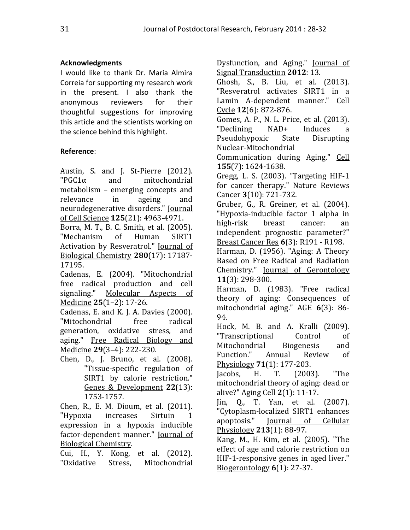# **Acknowledgments**

I would like to thank Dr. Maria Almira Correia for supporting my research work in the present. I also thank the anonymous reviewers for their thoughtful suggestions for improving this article and the scientists working on the science behind this highlight.

## **Reference**:

<span id="page-3-15"></span>Austin, S. and J. St-Pierre (2012). "PGC1α and mitochondrial metabolism – emerging concepts and relevance in ageing and neurodegenerative disorders." Journal of Cell Science **125**(21): 4963-4971.

<span id="page-3-8"></span>Borra, M. T., B. C. Smith, et al. (2005). "Mechanism of Human SIRT1 Activation by Resveratrol." Journal of Biological Chemistry **280**(17): 17187- 17195.

<span id="page-3-6"></span><span id="page-3-2"></span><span id="page-3-1"></span>Cadenas, E. (2004). "Mitochondrial free radical production and cell signaling." Molecular Aspects of Medicine **25**(1–2): 17-26.

<span id="page-3-5"></span>Cadenas, E. and K. J. A. Davies (2000). "Mitochondrial free radical generation, oxidative stress, and aging." Free Radical Biology and Medicine **29**(3–4): 222-230.

<span id="page-3-10"></span>Chen, D., J. Bruno, et al. (2008). "Tissue-specific regulation of SIRT1 by calorie restriction." Genes & Development **22**(13): 1753-1757.

<span id="page-3-11"></span>Chen, R., E. M. Dioum, et al. (2011). "Hypoxia increases Sirtuin 1 expression in a hypoxia inducible factor-dependent manner." Journal of Biological Chemistry.

<span id="page-3-4"></span>Cui, H., Y. Kong, et al. (2012). "Oxidative Stress, Mitochondrial <span id="page-3-13"></span><span id="page-3-12"></span><span id="page-3-9"></span><span id="page-3-0"></span>Dysfunction, and Aging." **Journal of** Signal Transduction **2012**: 13. Ghosh, S., B. Liu, et al. (2013). "Resveratrol activates SIRT1 in a Lamin A-dependent manner." Cell Cycle **12**(6): 872-876. Gomes, A. P., N. L. Price, et al. (2013). "Declining NAD+ Induces a Pseudohypoxic State Disrupting Nuclear-Mitochondrial Communication during Aging." Cell **155**(7): 1624-1638. Gregg, L. S. (2003). "Targeting HIF-1 for cancer therapy." Nature Reviews Cancer **3**(10): 721-732. Gruber, G., R. Greiner, et al. (2004). "Hypoxia-inducible factor 1 alpha in high-risk breast cancer: an independent prognostic parameter?" Breast Cancer Res **6**(3): R191 - R198. Harman, D. (1956). "Aging: A Theory Based on Free Radical and Radiation Chemistry." Journal of Gerontology **11**(3): 298-300. Harman, D. (1983). "Free radical theory of aging: Consequences of mitochondrial aging." AGE **6**(3): 86- 94. Hock, M. B. and A. Kralli (2009). "Transcriptional Control of Mitochondrial Biogenesis and Function." Annual Review of Physiology **71**(1): 177-203. Jacobs, H. T. (2003). "The mitochondrial theory of aging: dead or alive?" Aging Cell **2**(1): 11-17. Jin, Q., T. Yan, et al. (2007). "Cytoplasm-localized SIRT1 enhances apoptosis." Journal of Cellular Physiology **213**(1): 88-97. Kang, M., H. Kim, et al. (2005). "The

<span id="page-3-16"></span><span id="page-3-14"></span><span id="page-3-7"></span><span id="page-3-3"></span>effect of age and calorie restriction on HIF-1-responsive genes in aged liver." Biogerontology **6**(1): 27-37.